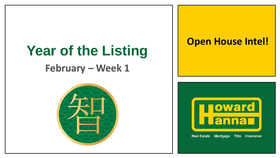# **Year of the Listing**

### **February – Week 1**



### **Open House Intel!**

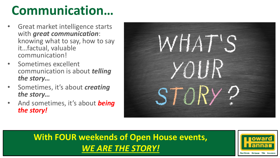### **Communication…**

- Great market intelligence starts with *great communication*: knowing what to say, how to say it…factual, valuable communication!
- Sometimes excellent communication is about *telling the story…*
- Sometimes, it's about *creating the story…*
- And sometimes, it's about *being the story!*



### **With FOUR weekends of Open House events,**  *WE ARE THE STORY!*

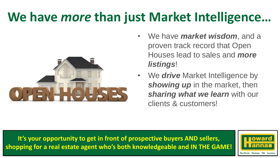### **We have** *more* **than just Market Intelligence…**



- We have *market wisdom*, and a proven track record that Open Houses lead to sales and *more listings*!
- We *drive* Market Intelligence by **showing up** in the market, then *sharing what we learn* with our clients & customers!

**It's your opportunity to get in front of prospective buyers AND sellers, shopping for a real estate agent who's both knowledgeable and IN THE GAME!**

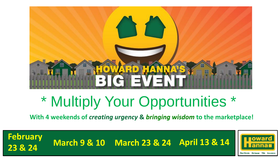

## \* Multiply Your Opportunities \*

**With 4 weekends of** *creating urgency* **&** *bringing wisdom* **to the marketplace!**

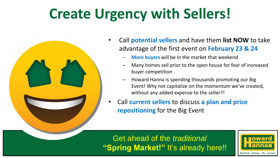### **Create Urgency with Sellers!**



- Call **potential sellers** and have them **list NOW** to take advantage of the first event on **February 23 & 24**
	- **More buyers** will be in the market that weekend
	- Many homes sell prior to the open house for fear of increased buyer competition
	- Howard Hanna is spending thousands promoting our Big Event! Why not capitalize on the momentum we've created, without any added expense to the seller?!
- Call **current sellers** to discuss **a plan and price repositioning** for the Big Event

### Get ahead of the *traditional* **"Spring Market!"** It's already here!!

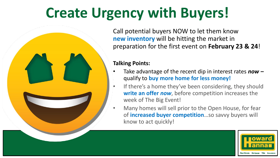### **Create Urgency with Buyers!**

Call potential buyers NOW to let them know **new inventory** will be hitting the market in preparation for the first event on **February 23 & 24**!

#### **Talking Points:**

- Take advantage of the recent dip in interest rates *now –* qualify to **buy more home for less money!**
- If there's a home they've been considering, they should **write an offer** *now*, before competition increases the week of The Big Event!
- Many homes will sell prior to the Open House, for fear of **increased buyer competition**…so savvy buyers will know to act quickly!

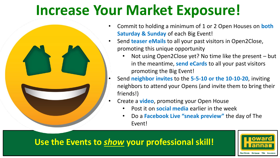### **Increase Your Market Exposure!**



- Commit to holding a minimum of 1 or 2 Open Houses on **both Saturday & Sunday** of each Big Event!
- Send **teaser eMails** to all your past visitors in Open2Close, promoting this unique opportunity
	- Not using Open2Close yet? No time like the present but in the meantime, **send eCards** to all your past visitors promoting the Big Event!
- Send **neighbor invites** to the **5-5-10 or the 10-10-20**, inviting neighbors to attend your Opens (and invite them to bring their friends!)
- Create a **video**, promoting your Open House
	- Post it on **social media** earlier in the week
	- Do a **Facebook Live "sneak preview"** the day of The Event!

### **Use the Events to** *show* **your professional skill!**

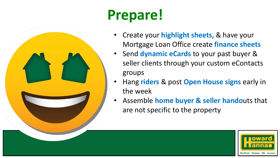

## **Prepare!**

- Create your **highlight sheets**, & have your Mortgage Loan Office create **finance sheets**
- Send **dynamic eCards** to your past buyer & seller clients through your custom eContacts groups
- Hang **riders** & post **Open House signs** early in the week
- Assemble **home buyer & seller hando**uts that are not specific to the property

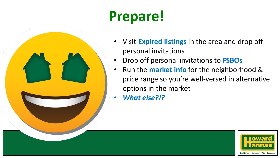## **Prepare!**

- Visit **Expired listings** in the area and drop off personal invitations
- Drop off personal invitations to **FSBOs**
- Run the **market info** for the neighborhood & price range so you're well-versed in alternative options in the market
- *What else?!?*

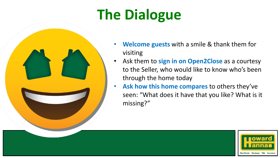## **The Dialogue**



- **Welcome guests** with a smile & thank them for visiting
- Ask them to **sign in on Open2Close** as a courtesy to the Seller, who would like to know who's been through the home today
- **Ask how this home compares** to others they've seen: "What does it have that you like? What is it missing?"

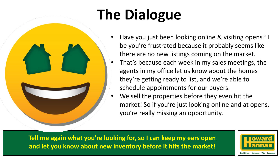## **The Dialogue**

- Have you just been looking online & visiting opens? I be you're frustrated because it probably seems like there are no new listings coming on the market.
- That's because each week in my sales meetings, the agents in my office let us know about the homes they're getting ready to list, and we're able to schedule appointments for our buyers.
- We sell the properties before they even hit the market! So if you're just looking online and at opens, you're really missing an opportunity.

**Tell me again what you're looking for, so I can keep my ears open and let you know about new inventory before it hits the market!**

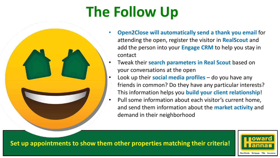## **The Follow Up**



- **Open2Close will automatically send a thank you email** for attending the open, register the visitor in **RealScout** and add the person into your **Engage CRM** to help you stay in contact
- Tweak their **search parameters in Real Scout** based on your conversations at the open
- Look up their **social media profiles**  do you have any friends in common? Do they have any particular interests? This information helps you **build your client relationship**!
- Pull some information about each visitor's current home, and send them information about the **market activity** and demand in their neighborhood

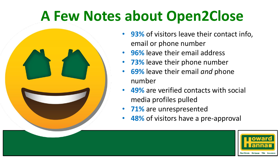### **A Few Notes about Open2Close**



- **93%** of visitors leave their contact info, email or phone number
- **96%** leave their email address
- **73%** leave their phone number
- **69%** leave their email *and* phone number
- **49%** are verified contacts with social media profiles pulled
- **71%** are unrespresented
- **48%** of visitors have a pre-approval